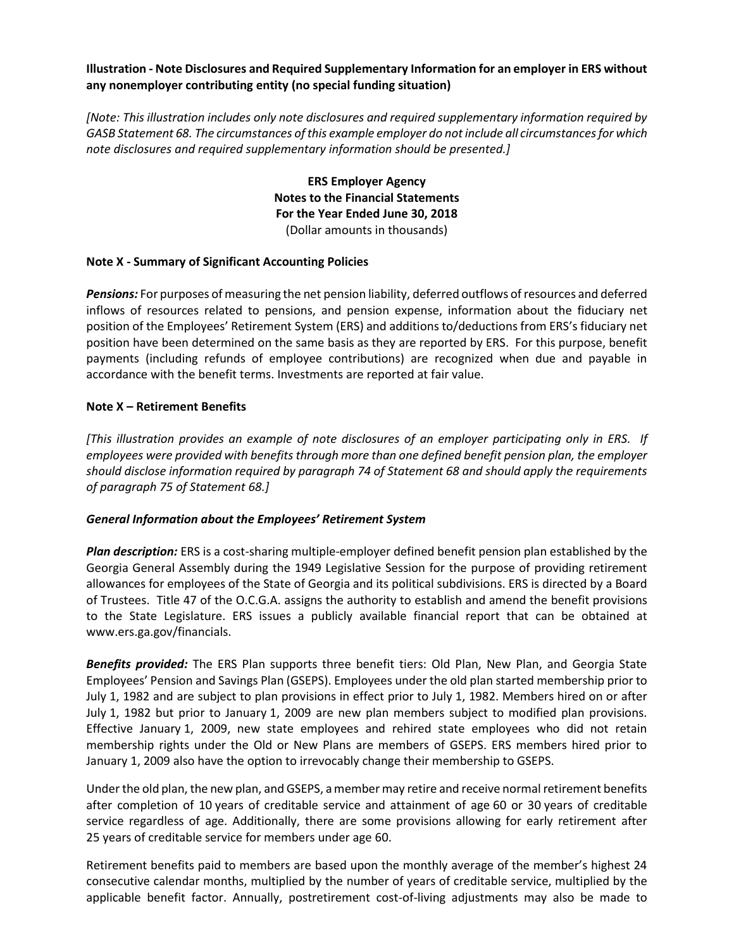### **Illustration - Note Disclosures and Required Supplementary Information for an employer in ERS without any nonemployer contributing entity (no special funding situation)**

*[Note: This illustration includes only note disclosures and required supplementary information required by GASB Statement 68. The circumstances of this example employer do not include all circumstances for which note disclosures and required supplementary information should be presented.]*

> **ERS Employer Agency Notes to the Financial Statements For the Year Ended June 30, 2018** (Dollar amounts in thousands)

### **Note X - Summary of Significant Accounting Policies**

*Pensions:* For purposes of measuring the net pension liability, deferred outflows of resources and deferred inflows of resources related to pensions, and pension expense, information about the fiduciary net position of the Employees' Retirement System (ERS) and additions to/deductions from ERS's fiduciary net position have been determined on the same basis as they are reported by ERS. For this purpose, benefit payments (including refunds of employee contributions) are recognized when due and payable in accordance with the benefit terms. Investments are reported at fair value.

#### **Note X – Retirement Benefits**

*[This illustration provides an example of note disclosures of an employer participating only in ERS. If employees were provided with benefits through more than one defined benefit pension plan, the employer should disclose information required by paragraph 74 of Statement 68 and should apply the requirements of paragraph 75 of Statement 68.]*

#### *General Information about the Employees' Retirement System*

*Plan description:* ERS is a cost-sharing multiple-employer defined benefit pension plan established by the Georgia General Assembly during the 1949 Legislative Session for the purpose of providing retirement allowances for employees of the State of Georgia and its political subdivisions. ERS is directed by a Board of Trustees. Title 47 of the O.C.G.A. assigns the authority to establish and amend the benefit provisions to the State Legislature. ERS issues a publicly available financial report that can be obtained at www.ers.ga.gov/financials.

*Benefits provided:* The ERS Plan supports three benefit tiers: Old Plan, New Plan, and Georgia State Employees' Pension and Savings Plan (GSEPS). Employees under the old plan started membership prior to July 1, 1982 and are subject to plan provisions in effect prior to July 1, 1982. Members hired on or after July 1, 1982 but prior to January 1, 2009 are new plan members subject to modified plan provisions. Effective January 1, 2009, new state employees and rehired state employees who did not retain membership rights under the Old or New Plans are members of GSEPS. ERS members hired prior to January 1, 2009 also have the option to irrevocably change their membership to GSEPS.

Under the old plan, the new plan, and GSEPS, a member may retire and receive normal retirement benefits after completion of 10 years of creditable service and attainment of age 60 or 30 years of creditable service regardless of age. Additionally, there are some provisions allowing for early retirement after 25 years of creditable service for members under age 60.

Retirement benefits paid to members are based upon the monthly average of the member's highest 24 consecutive calendar months, multiplied by the number of years of creditable service, multiplied by the applicable benefit factor. Annually, postretirement cost-of-living adjustments may also be made to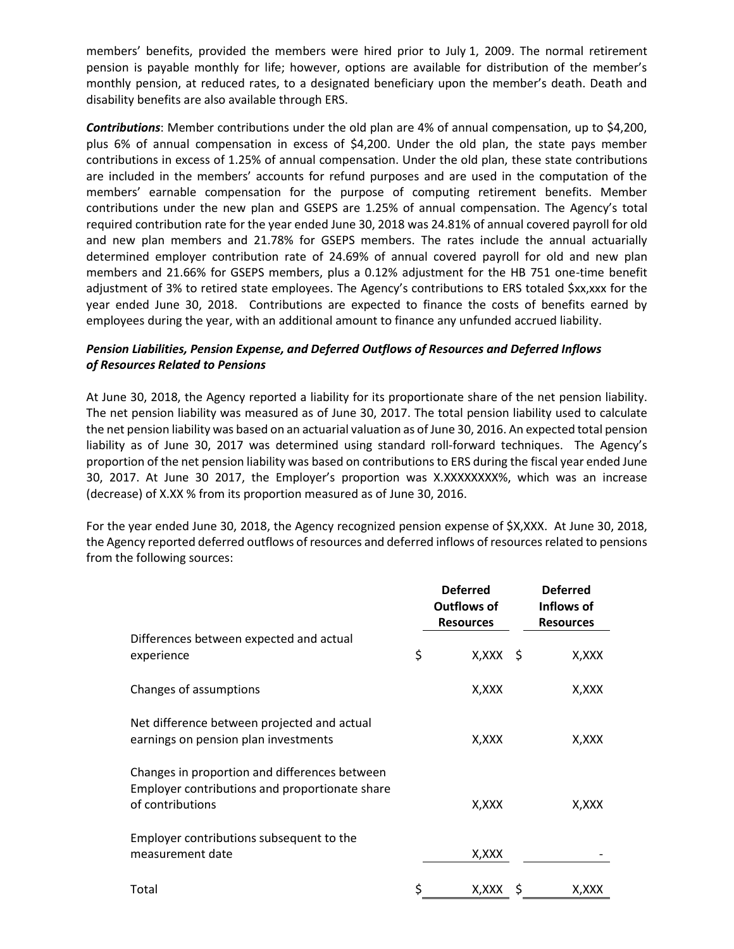members' benefits, provided the members were hired prior to July 1, 2009. The normal retirement pension is payable monthly for life; however, options are available for distribution of the member's monthly pension, at reduced rates, to a designated beneficiary upon the member's death. Death and disability benefits are also available through ERS.

*Contributions*: Member contributions under the old plan are 4% of annual compensation, up to \$4,200, plus 6% of annual compensation in excess of \$4,200. Under the old plan, the state pays member contributions in excess of 1.25% of annual compensation. Under the old plan, these state contributions are included in the members' accounts for refund purposes and are used in the computation of the members' earnable compensation for the purpose of computing retirement benefits. Member contributions under the new plan and GSEPS are 1.25% of annual compensation. The Agency's total required contribution rate for the year ended June 30, 2018 was 24.81% of annual covered payroll for old and new plan members and 21.78% for GSEPS members. The rates include the annual actuarially determined employer contribution rate of 24.69% of annual covered payroll for old and new plan members and 21.66% for GSEPS members, plus a 0.12% adjustment for the HB 751 one-time benefit adjustment of 3% to retired state employees. The Agency's contributions to ERS totaled \$xx,xxx for the year ended June 30, 2018. Contributions are expected to finance the costs of benefits earned by employees during the year, with an additional amount to finance any unfunded accrued liability.

# *Pension Liabilities, Pension Expense, and Deferred Outflows of Resources and Deferred Inflows of Resources Related to Pensions*

At June 30, 2018, the Agency reported a liability for its proportionate share of the net pension liability. The net pension liability was measured as of June 30, 2017. The total pension liability used to calculate the net pension liability was based on an actuarial valuation as of June 30, 2016. An expected total pension liability as of June 30, 2017 was determined using standard roll-forward techniques. The Agency's proportion of the net pension liability was based on contributions to ERS during the fiscal year ended June 30, 2017. At June 30 2017, the Employer's proportion was X.XXXXXXXX%, which was an increase (decrease) of X.XX % from its proportion measured as of June 30, 2016.

For the year ended June 30, 2018, the Agency recognized pension expense of \$X,XXX. At June 30, 2018, the Agency reported deferred outflows of resources and deferred inflows of resources related to pensions from the following sources:

|                                                                                                                     | <b>Deferred</b><br>Outflows of<br><b>Resources</b> |     | <b>Deferred</b><br>Inflows of<br><b>Resources</b> |
|---------------------------------------------------------------------------------------------------------------------|----------------------------------------------------|-----|---------------------------------------------------|
| Differences between expected and actual<br>experience                                                               | \$<br>$X, XXX$ \$                                  |     | X,XXX                                             |
| Changes of assumptions                                                                                              | X, XXX                                             |     | X,XXX                                             |
| Net difference between projected and actual<br>earnings on pension plan investments                                 | X,XXX                                              |     | X,XXX                                             |
| Changes in proportion and differences between<br>Employer contributions and proportionate share<br>of contributions | X,XXX                                              |     | X,XXX                                             |
| Employer contributions subsequent to the<br>measurement date                                                        | X, XXX                                             |     |                                                   |
| Total                                                                                                               | \$<br>X,XXX                                        | - S | X,XXX                                             |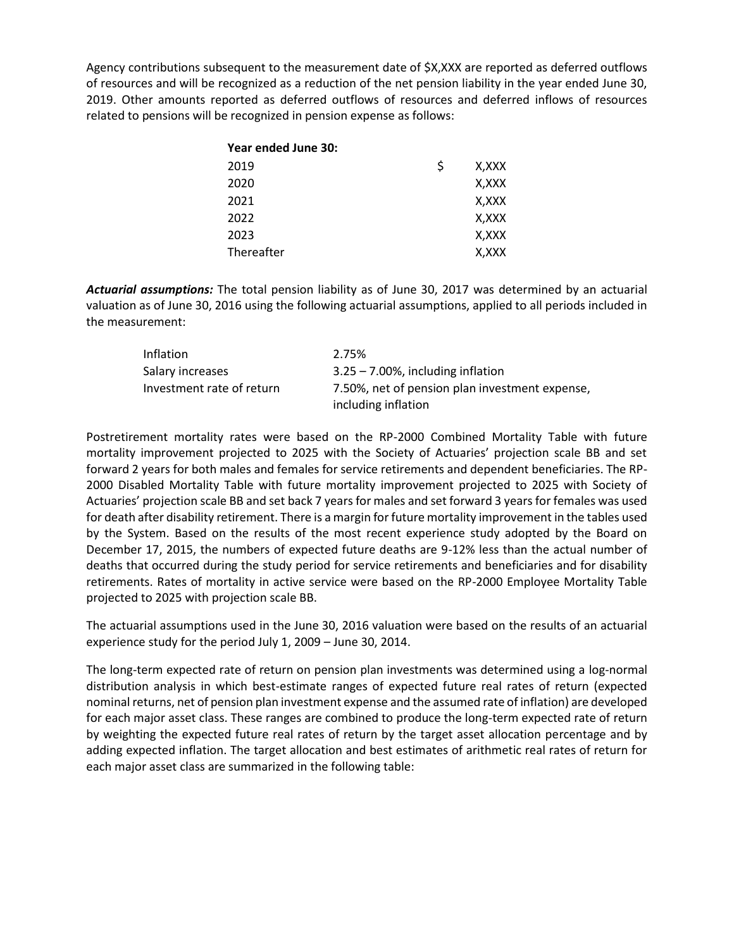Agency contributions subsequent to the measurement date of \$X,XXX are reported as deferred outflows of resources and will be recognized as a reduction of the net pension liability in the year ended June 30, 2019. Other amounts reported as deferred outflows of resources and deferred inflows of resources related to pensions will be recognized in pension expense as follows:

| Year ended June 30: |   |       |
|---------------------|---|-------|
| 2019                | Ŝ | X,XXX |
| 2020                |   | X,XXX |
| 2021                |   | X,XXX |
| 2022                |   | X,XXX |
| 2023                |   | X,XXX |
| Thereafter          |   | X,XXX |

*Actuarial assumptions:* The total pension liability as of June 30, 2017 was determined by an actuarial valuation as of June 30, 2016 using the following actuarial assumptions, applied to all periods included in the measurement:

| Inflation                 | 2.75%                                                                 |
|---------------------------|-----------------------------------------------------------------------|
| Salary increases          | $3.25 - 7.00\%$ , including inflation                                 |
| Investment rate of return | 7.50%, net of pension plan investment expense,<br>including inflation |

Postretirement mortality rates were based on the RP-2000 Combined Mortality Table with future mortality improvement projected to 2025 with the Society of Actuaries' projection scale BB and set forward 2 years for both males and females for service retirements and dependent beneficiaries. The RP-2000 Disabled Mortality Table with future mortality improvement projected to 2025 with Society of Actuaries' projection scale BB and set back 7 years for males and set forward 3 years for females was used for death after disability retirement. There is a margin for future mortality improvement in the tables used by the System. Based on the results of the most recent experience study adopted by the Board on December 17, 2015, the numbers of expected future deaths are 9-12% less than the actual number of deaths that occurred during the study period for service retirements and beneficiaries and for disability retirements. Rates of mortality in active service were based on the RP-2000 Employee Mortality Table projected to 2025 with projection scale BB.

The actuarial assumptions used in the June 30, 2016 valuation were based on the results of an actuarial experience study for the period July 1, 2009 – June 30, 2014.

The long-term expected rate of return on pension plan investments was determined using a log-normal distribution analysis in which best-estimate ranges of expected future real rates of return (expected nominal returns, net of pension plan investment expense and the assumed rate of inflation) are developed for each major asset class. These ranges are combined to produce the long-term expected rate of return by weighting the expected future real rates of return by the target asset allocation percentage and by adding expected inflation. The target allocation and best estimates of arithmetic real rates of return for each major asset class are summarized in the following table: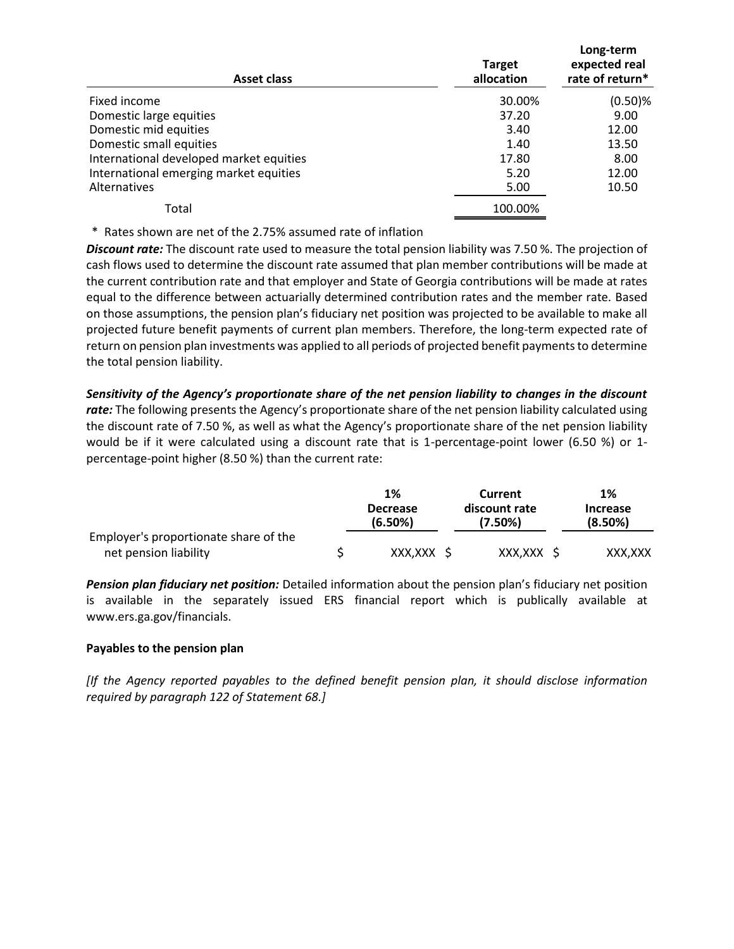| Asset class                             | <b>Target</b><br>allocation | Long-term<br>expected real<br>rate of return* |
|-----------------------------------------|-----------------------------|-----------------------------------------------|
| Fixed income                            | 30.00%                      | $(0.50)$ %                                    |
| Domestic large equities                 | 37.20                       | 9.00                                          |
| Domestic mid equities                   | 3.40                        | 12.00                                         |
| Domestic small equities                 | 1.40                        | 13.50                                         |
| International developed market equities | 17.80                       | 8.00                                          |
| International emerging market equities  | 5.20                        | 12.00                                         |
| Alternatives                            | 5.00                        | 10.50                                         |
| Total                                   | 100.00%                     |                                               |

\* Rates shown are net of the 2.75% assumed rate of inflation

*Discount rate:* The discount rate used to measure the total pension liability was 7.50 %. The projection of cash flows used to determine the discount rate assumed that plan member contributions will be made at the current contribution rate and that employer and State of Georgia contributions will be made at rates equal to the difference between actuarially determined contribution rates and the member rate. Based on those assumptions, the pension plan's fiduciary net position was projected to be available to make all projected future benefit payments of current plan members. Therefore, the long-term expected rate of return on pension plan investments was applied to all periods of projected benefit payments to determine the total pension liability.

*Sensitivity of the Agency's proportionate share of the net pension liability to changes in the discount rate:* The following presents the Agency's proportionate share of the net pension liability calculated using the discount rate of 7.50 %, as well as what the Agency's proportionate share of the net pension liability would be if it were calculated using a discount rate that is 1-percentage-point lower (6.50 %) or 1 percentage-point higher (8.50 %) than the current rate:

|                                       | 1%                         | Current                  | 1%                         |
|---------------------------------------|----------------------------|--------------------------|----------------------------|
|                                       | <b>Decrease</b><br>(6.50%) | discount rate<br>(7.50%) | <b>Increase</b><br>(8.50%) |
| Employer's proportionate share of the |                            |                          |                            |
| net pension liability                 | XXX,XXX \$                 | XXX,XXX \$               | XXX.XXX                    |

*Pension plan fiduciary net position:* Detailed information about the pension plan's fiduciary net position is available in the separately issued ERS financial report which is publically available at www.ers.ga.gov/financials.

# **Payables to the pension plan**

*[If the Agency reported payables to the defined benefit pension plan, it should disclose information required by paragraph 122 of Statement 68.]*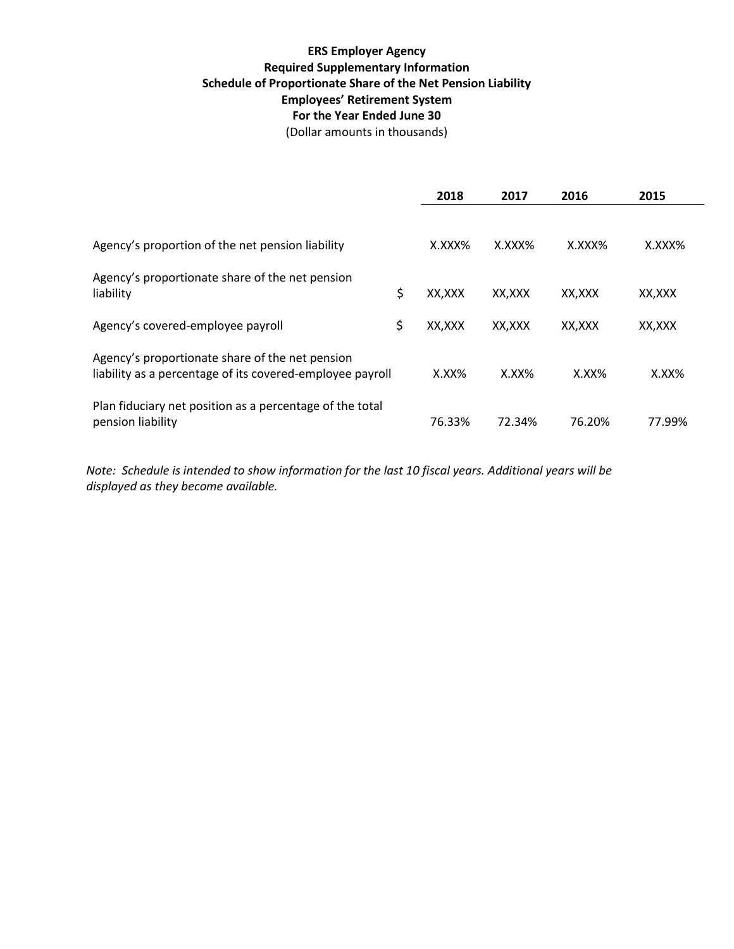# **ERS Employer Agency Required Supplementary Information Schedule of Proportionate Share of the Net Pension Liability Employees' Retirement System For the Year Ended June 30**

(Dollar amounts in thousands)

|                                                                                                              | 2018          | 2017     | 2016     | 2015     |
|--------------------------------------------------------------------------------------------------------------|---------------|----------|----------|----------|
|                                                                                                              |               |          |          |          |
| Agency's proportion of the net pension liability                                                             | X.XXX%        | X.XXX%   | X.XXX%   | X.XXX%   |
| Agency's proportionate share of the net pension                                                              |               |          |          |          |
| liability                                                                                                    | \$<br>XX, XXX | XX,XXX   | XX,XXX   | XX,XXX   |
| Agency's covered-employee payroll                                                                            | \$<br>XX,XXX  | XX,XXX   | XX,XXX   | XX,XXX   |
| Agency's proportionate share of the net pension<br>liability as a percentage of its covered-employee payroll | $X.XX\%$      | $X.XX\%$ | $X.XX\%$ | $X.XX\%$ |
| Plan fiduciary net position as a percentage of the total<br>pension liability                                | 76.33%        | 72.34%   | 76.20%   | 77.99%   |

*Note: Schedule is intended to show information for the last 10 fiscal years. Additional years will be displayed as they become available.*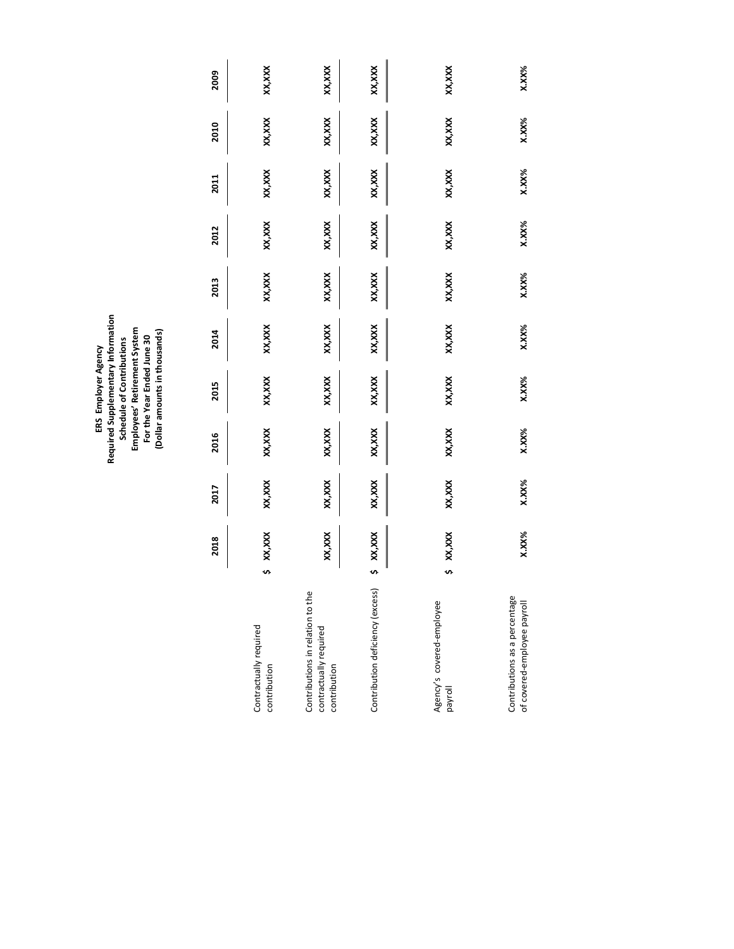ERS Employer Agency<br>Required Supplementary Information<br>Schedule of Contributions<br>Employees' Retirement System<br>For the Year Ended June 30<br>(Dollar amounts in thousands) **Required Supplementary Information (Dollar amounts in thousands) Employees' Retirement System For the Year Ended June 30 Schedule of Contributions ERS Employer Agency**

|                                                                            |    | 2018        | 2017   | 2016   | 2015     | 2014    | 2013   | 2012   | 2011    | 2010     | 2009     |
|----------------------------------------------------------------------------|----|-------------|--------|--------|----------|---------|--------|--------|---------|----------|----------|
| Contractually required<br>contribution                                     | S  | XX, XXX     | XX,XXX | XX,XXX | XX, XXX  | XX, XXX | XX,XXX | XX,XXX | XX, XXX | XX,XXX   | XX, XXX  |
| Contributions in relation to the<br>contractually required<br>contribution |    | XX,XXX      | XX,XXX | XX,XXX | XX, XXX  | XX, XXX | XX,XXX | XX,XXX | XX, XXX | XX,XXX   | XX,XXX   |
| Contribution deficiency (excess)                                           |    | $5$ XX, XXX | XX,XXX | XX,XXX | XX, XXX  | XX,XXX  | XX,XXX | XX,XXX | XX, XXX | XX,XXX   | XX,XXX   |
| Agency's covered-employee<br>payroll                                       | U) | XX, XXX     | XX,XXX | XX,XXX | XX, XXX  | XX, XXX | XX,XXX | XX,XXX | XX, XXX | XX, XXX  | XX,XXX   |
| Contributions as a percentage<br>of covered-employee payroll               |    | X.XX%       | X.XX%  | X.XX%  | $X.XX\%$ | X.XX%   | X.XX%  | X.XX%  | X.XX%   | $X.XX\%$ | $X.XX\%$ |